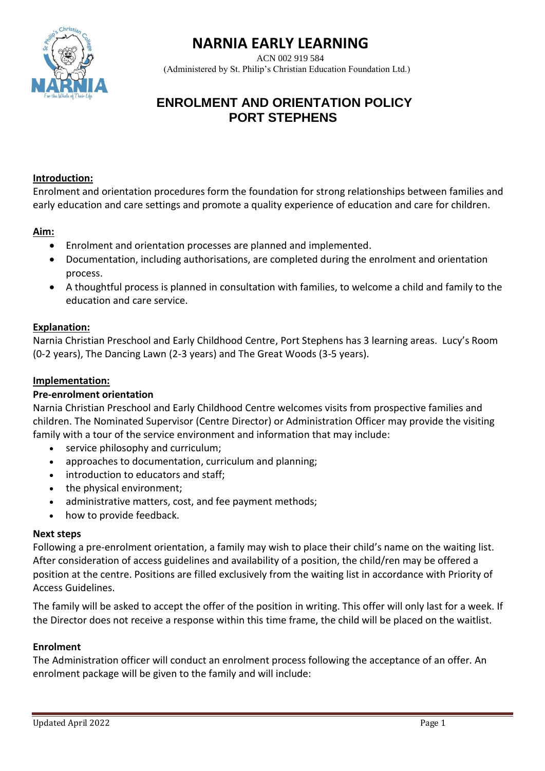# **NARNIA EARLY LEARNING**



ACN 002 919 584 (Administered by St. Philip's Christian Education Foundation Ltd.)

# **ENROLMENT AND ORIENTATION POLICY PORT STEPHENS**

# **Introduction:**

Enrolment and orientation procedures form the foundation for strong relationships between families and early education and care settings and promote a quality experience of education and care for children.

# **Aim:**

- Enrolment and orientation processes are planned and implemented.
- Documentation, including authorisations, are completed during the enrolment and orientation process.
- A thoughtful process is planned in consultation with families, to welcome a child and family to the education and care service.

### **Explanation:**

Narnia Christian Preschool and Early Childhood Centre, Port Stephens has 3 learning areas. Lucy's Room (0-2 years), The Dancing Lawn (2-3 years) and The Great Woods (3-5 years).

#### **Implementation:**

#### **Pre-enrolment orientation**

Narnia Christian Preschool and Early Childhood Centre welcomes visits from prospective families and children. The Nominated Supervisor (Centre Director) or Administration Officer may provide the visiting family with a tour of the service environment and information that may include:

- service philosophy and curriculum;
- approaches to documentation, curriculum and planning;
- introduction to educators and staff;
- the physical environment;
- administrative matters, cost, and fee payment methods;
- how to provide feedback.

#### **Next steps**

Following a pre-enrolment orientation, a family may wish to place their child's name on the waiting list. After consideration of access guidelines and availability of a position, the child/ren may be offered a position at the centre. Positions are filled exclusively from the waiting list in accordance with Priority of Access Guidelines.

The family will be asked to accept the offer of the position in writing. This offer will only last for a week. If the Director does not receive a response within this time frame, the child will be placed on the waitlist.

#### **Enrolment**

The Administration officer will conduct an enrolment process following the acceptance of an offer. An enrolment package will be given to the family and will include: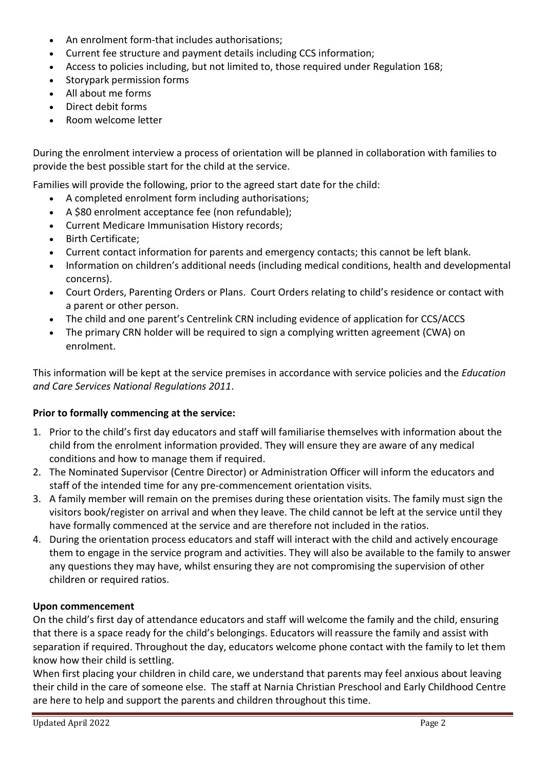- An enrolment form-that includes authorisations;
- Current fee structure and payment details including CCS information;
- Access to policies including, but not limited to, those required under Regulation 168;
- Storypark permission forms
- All about me forms
- Direct debit forms
- Room welcome letter

During the enrolment interview a process of orientation will be planned in collaboration with families to provide the best possible start for the child at the service.

Families will provide the following, prior to the agreed start date for the child:

- A completed enrolment form including authorisations;
- A \$80 enrolment acceptance fee (non refundable);
- Current Medicare Immunisation History records;
- Birth Certificate;
- Current contact information for parents and emergency contacts; this cannot be left blank.
- Information on children's additional needs (including medical conditions, health and developmental concerns).
- Court Orders, Parenting Orders or Plans. Court Orders relating to child's residence or contact with a parent or other person.
- The child and one parent's Centrelink CRN including evidence of application for CCS/ACCS
- The primary CRN holder will be required to sign a complying written agreement (CWA) on enrolment.

This information will be kept at the service premises in accordance with service policies and the *Education and Care Services National Regulations 2011*.

# **Prior to formally commencing at the service:**

- 1. Prior to the child's first day educators and staff will familiarise themselves with information about the child from the enrolment information provided. They will ensure they are aware of any medical conditions and how to manage them if required.
- 2. The Nominated Supervisor (Centre Director) or Administration Officer will inform the educators and staff of the intended time for any pre-commencement orientation visits.
- 3. A family member will remain on the premises during these orientation visits. The family must sign the visitors book/register on arrival and when they leave. The child cannot be left at the service until they have formally commenced at the service and are therefore not included in the ratios.
- 4. During the orientation process educators and staff will interact with the child and actively encourage them to engage in the service program and activities. They will also be available to the family to answer any questions they may have, whilst ensuring they are not compromising the supervision of other children or required ratios.

# **Upon commencement**

On the child's first day of attendance educators and staff will welcome the family and the child, ensuring that there is a space ready for the child's belongings. Educators will reassure the family and assist with separation if required. Throughout the day, educators welcome phone contact with the family to let them know how their child is settling.

When first placing your children in child care, we understand that parents may feel anxious about leaving their child in the care of someone else. The staff at Narnia Christian Preschool and Early Childhood Centre are here to help and support the parents and children throughout this time.